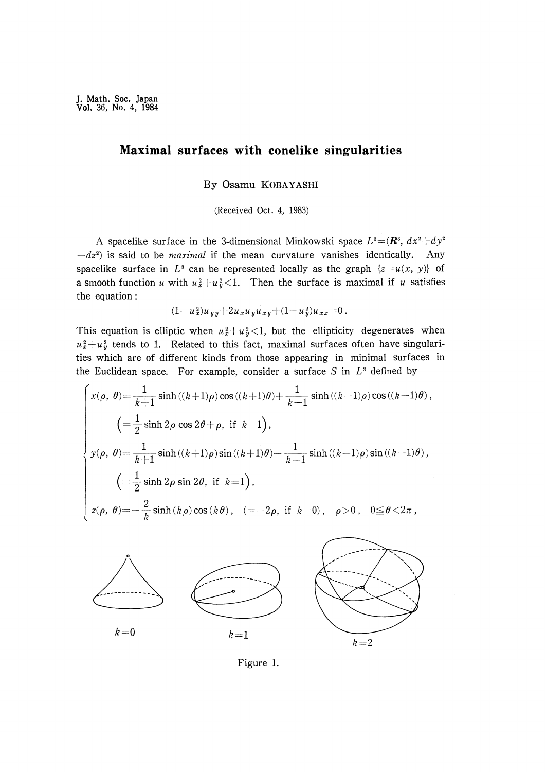# Maximal surfaces with conelike singularities

By Osamu KOBAYASHI

(Received Oct. 4, 1983)

A spacelike surface in the 3-dimensional Minkowski space  $L^3 = (\mathbb{R}^3, dx^2 + dy^2)$  $-dz<sup>2</sup>$ ) is said to be *maximal* if the mean curvature vanishes identically. Any spacelike surface in  $L^3$  can be represented locally as the graph  $\{z=u(x, y)\}\$  of a smooth function u with  $u_x^2 + u_y^2 < 1$ . Then the surface is maximal if u satisfies the equation :

$$
(1-u_x^2)u_{yy}+2u_xu_yu_{xy}+(1-u_y^2)u_{xx}=0.
$$

This equation is elliptic when  $u_x^2+u_y^2<1$ , but the ellipticity degenerates when  $u_x^2+u_y^2$  tends to 1. Related to this fact, maximal surfaces often have singularities which are of different kinds from those appearing in minimal surfaces in the Euclidean space. For example, consider a surface S in  $L^3$  defined by

$$
\begin{cases}\n x(\rho, \theta) = \frac{1}{k+1} \sinh((k+1)\rho) \cos((k+1)\theta) + \frac{1}{k-1} \sinh((k-1)\rho) \cos((k-1)\theta), \\
\left( = \frac{1}{2} \sinh 2\rho \cos 2\theta + \rho, \text{ if } k=1 \right), \\
y(\rho, \theta) = \frac{1}{k+1} \sinh((k+1)\rho) \sin((k+1)\theta) - \frac{1}{k-1} \sinh((k-1)\rho) \sin((k-1)\theta), \\
\left( = \frac{1}{2} \sinh 2\rho \sin 2\theta, \text{ if } k=1 \right), \\
z(\rho, \theta) = -\frac{2}{k} \sinh(k\rho) \cos(k\theta), \quad (= -2\rho, \text{ if } k=0), \quad \rho > 0, \quad 0 \le \theta < 2\pi,\n\end{cases}
$$



Figure 1.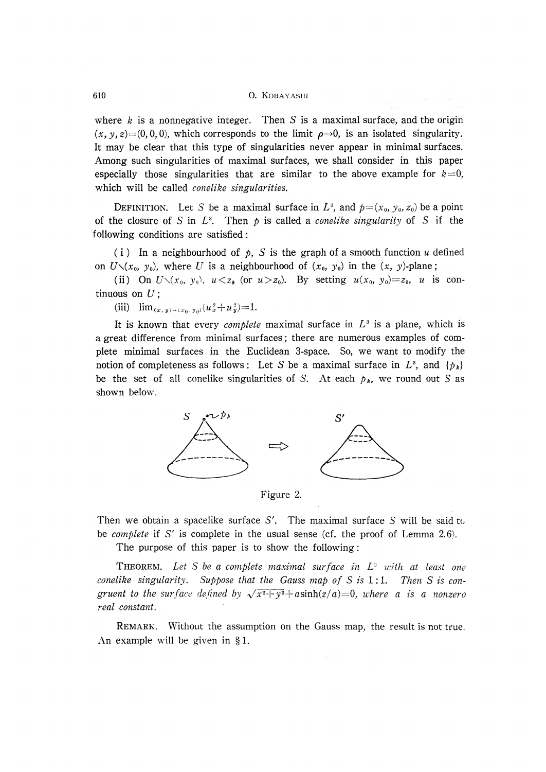#### 610 0. KOBAYASHI

where  $k$  is a nonnegative integer. Then  $S$  is a maximal surface, and the origin  $(x, y, z)=(0, 0, 0)$ , which corresponds to the limit  $\rho \rightarrow 0$ , is an isolated singularity. It may be clear that this type of singularities never appear in minimal surfaces. Among such singularities of maximal surfaces, we shall consider in this paper especially those singularities that are similar to the above example for  $k=0$ , which will be called *conelike singularities*.

DEFINITION. Let S be a maximal surface in  $L^3$ , and  $p=(x_0, y_0, z_0)$  be a point of the closure of S in  $L^3$ . Then p is called a *conelike singularity* of S if the following conditions are satisfied :

(i) In a neighbourhood of  $p$ , S is the graph of a smooth function u defined on  $U\setminus(x_0, y_0)$ , where U is a neighbourhood of  $(x_0, y_0)$  in the  $(x, y)$ -plane;

(ii) On  $U\setminus(x_0, y_0)$ ,  $u < z_0$  (or  $u > z_0$ ). By setting  $u(x_0, y_0)=z_0$ , u is continuous on  $U$ ;

(iii)  $\lim_{(x,y)\to(x_0,y_0)}(u_x^2+u_y^2)=1.$ 

It is known that every *complete* maximal surface in  $L^3$  is a plane, which is a great difference from minimal surfaces; there are numerous examples of complete minimal surfaces in the Euclidean 3-space. So, we want to modify the notion of completeness as follows : Let S be a maximal surface in  $L^3$ , and  $\{p_k\}$ be the set of all conelike singularities of S. At each  $p_k$ , we round out S as shown below.



Figure 2.

Then we obtain a spacelike surface S'. The maximal surface  $S$  will be said to be *complete* if S' is complete in the usual sense (cf. the proof of Lemma 2.6).

The purpose of this paper is to show the following :

**THEOREM.** Let S be a complete maximal surface in  $L^s$  with at least one conelike singularity. Suppose that the Gauss map of  $S$  is  $1:1$ . Then  $S$  is congruent to the surface defined by  $\sqrt{x^2+y^2+}$  asinh(z/a)=0, where a is a nonzero real constant.

 REMARK. Without the assumption on the Gauss map, the result is not true. An example will be given in § 1.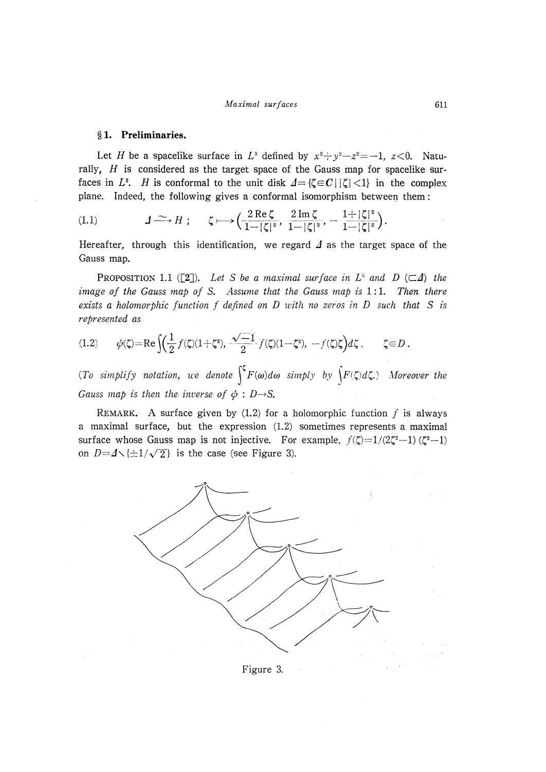#### Maximal surfaces 611

# § 1. Preliminaries.

Let H be a spacelike surface in  $L^3$  defined by  $x^2 + y^2 - z^2 = -1$ ,  $z < 0$ . Naturally,  $H$  is considered as the target space of the Gauss map for spacelike surfaces in L<sup>3</sup>. H is conformal to the unit disk  $\Delta = {\zeta \in C \, | \, |\zeta| \leq 1}$  in the complex plane. Indeed, the following gives a conformal isomorphism between them :

 2Re~ 2Im~ \_ 12 ICI ICI 2 1- ICI

Hereafter, through this identification, we regard  $\Delta$  as the target space of the Gauss map.

**PROPOSITION 1.1** ([2]). Let S be a maximal surface in  $L^s$  and  $D$  ( $\subset \Delta$ ) the image of the Gauss map of S. Assume that the Gauss map is  $1:1$ . Then there exists a holomorphic function  $f$  defined on  $D$  with no zeros in  $D$  such that  $S$  is represented as

$$
(1.2) \qquad \phi(\zeta) = \text{Re}\left[ \left( \frac{1}{2} f(\zeta)(1+\zeta^2), \frac{\sqrt{-1}}{2} f(\zeta)(1-\zeta^2), -f(\zeta)\zeta \right) d\zeta \right], \qquad \zeta \in D.
$$

(To simplify notation, we denote  $\int^{\zeta} F(\omega) d\omega$  simply by  $\int F(\zeta) d\zeta$ .) Moreover the Gauss map is then the inverse of  $\phi : D \rightarrow S$ .

REMARK. A surface given by  $(1.2)$  for a holomorphic function f is always a maximal surface, but the expression (1.2) sometimes represents a maximal surface whose Gauss map is not injective. For example,  $f(\zeta)=1/(2\zeta^2-1)$  ( $\zeta^2-1$ ) on  $D=4\sqrt{\pm 1/\sqrt{2}}$  is the case (see Figure 3).



Figure 3.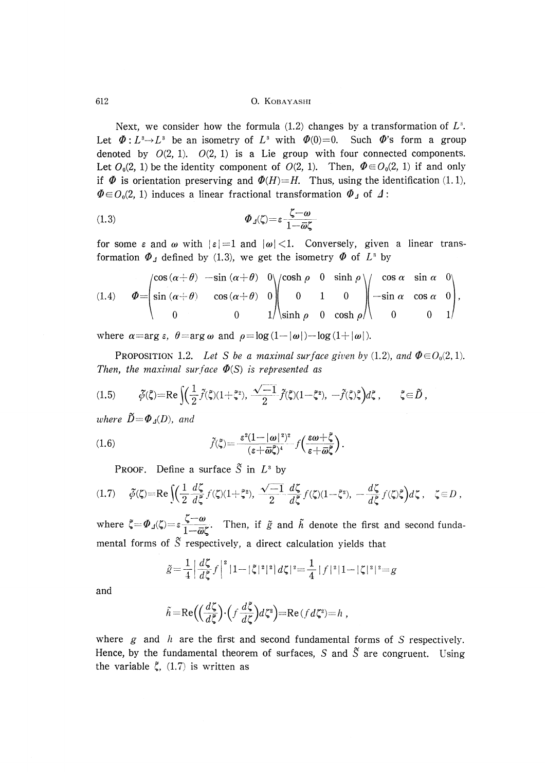#### 612 0. KOBAYASHI

Next, we consider how the formula  $(1.2)$  changes by a transformation of  $L^3$ . Let  $\Phi : L^3 \to L^3$  be an isometry of  $L^3$  with  $\Phi(0)=0$ . Such  $\Phi'$ 's form a group denoted by  $O(2, 1)$ .  $O(2, 1)$  is a Lie group with four connected components. Let  $O_0(2, 1)$  be the identity component of  $O(2, 1)$ . Then,  $\Phi \in O_0(2, 1)$  if and only if  $\Phi$  is orientation preserving and  $\Phi(H)=H$ . Thus, using the identification (1.1),  $\Phi \in O_0(2, 1)$  induces a linear fractional transformation  $\Phi_A$  of  $\Delta$ :

$$
\Phi_{\Lambda}(\zeta) = \varepsilon \frac{\zeta - \omega}{1 - \bar{\omega}\zeta}
$$

for some  $\varepsilon$  and  $\omega$  with  $|\varepsilon| = 1$  and  $|\omega| < 1$ . Conversely, given a linear transformation  $\Phi_{\perp}$  defined by (1.3), we get the isometry  $\Phi$  of  $L^3$  by

(1.4) 
$$
\boldsymbol{\Phi} = \begin{pmatrix} \cos(\alpha + \theta) & -\sin(\alpha + \theta) & 0 \\ \sin(\alpha + \theta) & \cos(\alpha + \theta) & 0 \\ 0 & 0 & 1 \end{pmatrix} \begin{pmatrix} \cosh \rho & 0 & \sinh \rho \\ 0 & 1 & 0 \\ \sinh \rho & 0 & \cosh \rho \end{pmatrix} \begin{pmatrix} \cos \alpha & \sin \alpha & 0 \\ -\sin \alpha & \cos \alpha & 0 \\ 0 & 0 & 1 \end{pmatrix},
$$

where  $\alpha = \arg \epsilon$ ,  $\theta = \arg \omega$  and  $\rho = \log (1 - |\omega|) - \log (1 + |\omega|)$ 

PROPOSITION 1.2. Let S be a maximal surface given by (1.2), and  $\Phi \in O_0(2, 1)$ . Then, the maximal surface  $\Phi(S)$  is represented as

$$
(1.5) \qquad \tilde{\phi}(\tilde{\zeta}) = \text{Re}\left[ \left( \frac{1}{2} \tilde{f}(\tilde{\zeta})(1+\tilde{\zeta}^2), \frac{\sqrt{-1}}{2} \tilde{f}(\tilde{\zeta})(1-\tilde{\zeta}^2), -\tilde{f}(\tilde{\zeta})\tilde{\zeta} \right) d\tilde{\zeta} , \qquad \tilde{\zeta} \in \tilde{D} ,\right]
$$

where  $\widetilde{D} = \Phi_A(D)$ , and

(1.6) 
$$
\widetilde{f}(\widetilde{\zeta}) = \frac{\varepsilon^2 (1 - |\omega|^2)^2}{(\varepsilon + \overline{\omega}\widetilde{\zeta})^4} f\left(\frac{\varepsilon \omega + \widetilde{\zeta}}{\varepsilon + \overline{\omega}\widetilde{\zeta}}\right).
$$

**PROOF.** Define a surface  $\tilde{S}$  in  $L^3$  by

$$
(1.7) \qquad \tilde{\phi}(\zeta) = \text{Re}\left\{ \left( \frac{1}{2} \frac{d\zeta}{d\zeta} f(\zeta)(1+\zeta^2), \frac{\sqrt{-1}}{2} \frac{d\zeta}{d\zeta} f(\zeta)(1-\zeta^2), \ -\frac{d\zeta}{d\zeta} f(\zeta)\zeta \right) d\zeta \right\}, \quad \zeta \in D \ ,
$$

where  $\zeta = \Phi_{\mu}(\zeta) = \varepsilon \frac{1}{1 - \overline{\omega} \zeta}$ . Then, if  $\tilde{g}$  and  $\tilde{h}$  denote the first and second fundamental forms of  $\tilde{S}$  respectively, a direct calculation yields that

$$
\tilde{g} = \frac{1}{4} \left| \frac{d\zeta}{d\tilde{\zeta}} f \right|^2 |1 - |\zeta|^2|^2 |d\zeta|^2 = \frac{1}{4} |f|^2 |1 - |\zeta|^2|^2 = g
$$

and

$$
\widetilde{h} = \text{Re}\Big(\Big(\frac{d\zeta}{d\zeta}\Big) \cdot \Big(f\frac{d\zeta}{d\zeta}\Big) d\zeta^2\Big) = \text{Re}\,(f d\zeta^2) = h,
$$

where  $g$  and  $h$  are the first and second fundamental forms of  $S$  respectively. Hence, by the fundamental theorem of surfaces, S and  $\tilde{S}$  are congruent. Using the variable  $\xi$ , (1.7) is written as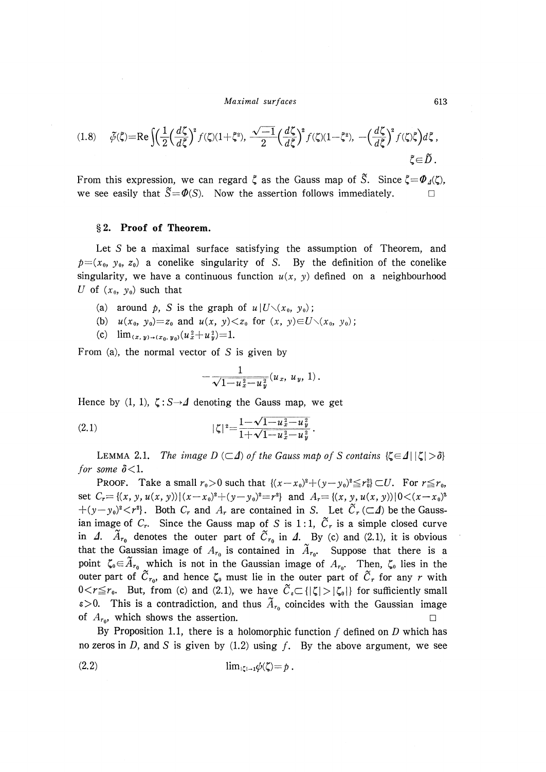Maximal surfaces 613

$$
(1.8) \qquad \tilde{\phi}(\tilde{\zeta}) = \text{Re}\int \left(\frac{1}{2} \left(\frac{d\zeta}{d\tilde{\zeta}}\right)^2 f(\zeta)(1+\tilde{\zeta}^2), \frac{\sqrt{-1}}{2} \left(\frac{d\zeta}{d\tilde{\zeta}}\right)^2 f(\zeta)(1-\tilde{\zeta}^2), \ -\left(\frac{d\zeta}{d\tilde{\zeta}}\right)^2 f(\zeta)\tilde{\zeta}\right) d\tilde{\zeta} \; ,
$$
  

$$
\tilde{\zeta} \in \tilde{D} \; .
$$

From this expression, we can regard  $\zeta$  as the Gauss map of  $\tilde{S}$ . Since  $\zeta = \Phi_d(\zeta)$ . we see easily that  $\tilde{S}={\varPhi}(S)$ . Now the assertion follows immediately.

### § 2. Proof of Theorem.

 Let S be a maximal surface satisfying the assumption of Theorem, and  $p=(x_0, y_0, z_0)$  a conelike singularity of S. By the definition of the conelike singularity, we have a continuous function  $u(x, y)$  defined on a neighbourhood U of  $(x_0, y_0)$  such that

- (a) around p, S is the graph of  $u | U \setminus (x_0, y_0)$ ;
- (b)  $u(x_0, y_0)=z_0$  and  $u(x, y) \le z_0$  for  $(x, y) \in U \setminus (x_0, y_0)$ ;
- (c)  $\lim_{(x,y)\to(x_0,y_0)}(u_x^2+u_y^2)=1.$

From (a), the normal vector of  $S$  is given by

$$
-\frac{1}{\sqrt{1-u_x^2-u_y^2}}(u_x, u_y, 1).
$$

Hence by (1, 1),  $\zeta$ : S $\rightarrow$  4 denoting the Gauss map, we get

(2.1) 
$$
|\zeta|^2 = \frac{1 - \sqrt{1 - u_x^2 - u_y^2}}{1 + \sqrt{1 - u_x^2 - u_y^2}}.
$$

LEMMA 2.1. The image  $D (\subset \Delta)$  of the Gauss map of S contains  $\{\zeta \in \Delta \mid |\zeta| > \delta\}$ for some  $\delta$  < 1.

**PROOF.** Take a small  $r_0>0$  such that  $\{(x-x_0)^2+(y-y_0)^2\leq r_0^2\}\subset U$ . For  $r\leq r_0$ , set  $C_r = \{(x, y, u(x, y)) | (x-x_0)^2 + (y-y_0)^2 = r^2 \}$  and  $A_r = \{(x, y, u(x, y)) | 0 < (x-x_0)^2$  $+(y-y_0)^2 < r^2$ . Both  $C_r$  and  $A_r$  are contained in S. Let  $\widetilde{C}_r (\subset \mathcal{A})$  be the Gaussian image of  $C_r$ . Since the Gauss map of S is 1:1,  $\tilde{C}_r$  is a simple closed curve in  $\Delta$ .  $\tilde{A}_{r_0}$  denotes the outer part of  $\tilde{C}_{r_0}$  in  $\Delta$ . By (c) and (2.1), it is obvious that the Gaussian image of  $A_{r_0}$  is contained in  $\widetilde{A}_{r_0}$ . Suppose that there is a point  $\zeta_0 \in \tilde{A}_{r_0}$  which is not in the Gaussian image of  $A_{r_0}$ . Then,  $\zeta_0$  lies in the outer part of  $\tilde{C}_{r_0}$ , and hence  $\zeta_0$  must lie in the outer part of  $\tilde{C}_r$  for any r with  $0 < r \le r_0$ . But, from (c) and (2.1), we have  $\widetilde{C}_s \subset {\vert \zeta \vert > \vert \zeta_0 \vert}$  for sufficiently small  $\varepsilon > 0$ . This is a contradiction, and thus  $\tilde{A}_{r_0}$  coincides with the Gaussian image of  $A_{r_0}$ , which shows the assertion.

By Proposition 1.1, there is a holomorphic function  $f$  defined on  $D$  which has no zeros in D, and S is given by  $(1.2)$  using f. By the above argument, we see

(2.2) lim,~,~1~b(~)=p .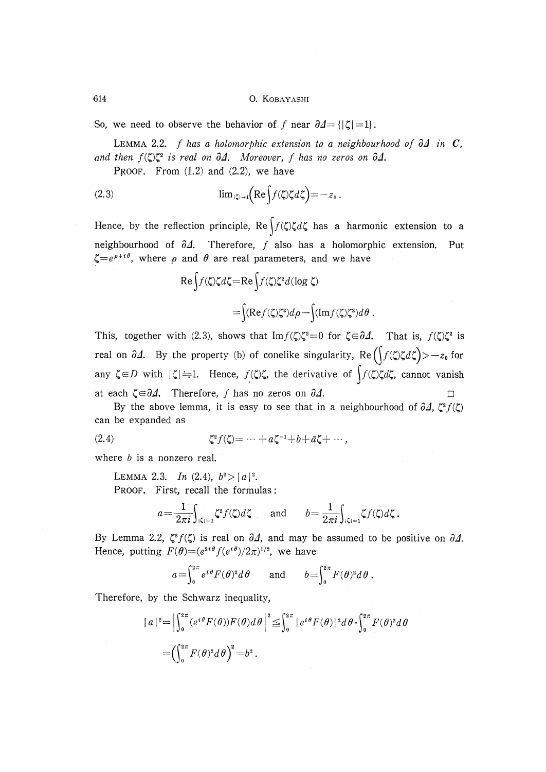So, we need to observe the behavior of f near  $\partial \Delta = \{ |\zeta| = 1 \}$ .

LEMMA 2.2. f has a holomorphic extension to a neighbourhood of  $\partial\Delta$  in C, and then  $f(\zeta)\zeta^2$  is real on  $\partial\varDelta$ . Moreover, f has no zeros on  $\partial\varDelta$ .

PROOF. From  $(1.2)$  and  $(2.2)$ , we have

(2.3) 
$$
\lim_{|z| \to 1} \left( \operatorname{Re} \int f(\zeta) \zeta d\zeta \right) = -z_0.
$$

Hence, by the reflection principle,  $\text{Re} \int f(\zeta) \zeta d\zeta$  has a harmonic extension to a neighbourhood of  $\partial \Lambda$ . Therefore, f also has a holomorphic extension. Put  $\zeta=e^{\rho+i\theta}$ , where  $\rho$  and  $\theta$  are real parameters, and we have

$$
\operatorname{Re}\int f(\zeta)\zeta d\zeta = \operatorname{Re}\int f(\zeta)\zeta^2 d(\log \zeta)
$$

$$
= \int (\operatorname{Re}\int f(\zeta)\zeta^2)d\rho - \int (\operatorname{Im}\int f(\zeta)\zeta^2)d\theta.
$$

This, together with (2.3), shows that  $\text{Im } f(\zeta)\zeta^2=0$  for  $\zeta \in \partial \Delta$ . That is,  $f(\zeta)\zeta^2$  is real on  $\partial \Delta$ . By the property (b) of conelike singularity, Re $(f(\zeta)\zeta d\zeta) > -z_0$  for any  $\zeta \in D$  with  $|\zeta| = 1$ . Hence,  $f(\zeta) \zeta$ , the derivative of  $\int f(\zeta) \zeta d\zeta$ , cannot vanish at each  $\zeta \in \partial \Delta$ . Therefore, f has no zeros on  $\partial \Delta$ .

By the above lemma, it is easy to see that in a neighbourhood of  $\partial \Delta$ ,  $\zeta^2 f(\zeta)$ can be expanded as

(2.4) 
$$
\zeta^2 f(\zeta) = \cdots + a \zeta^{-1} + b + \bar{a} \zeta + \cdots,
$$

where  $b$  is a nonzero real.

LEMMA 2.3. In  $(2.4)$ ,  $b^2 > |a|^2$ . PROOF. First, recall the formulas :

$$
a = \frac{1}{2\pi i} \int_{|\zeta|=1} \zeta^2 f(\zeta) d\zeta \quad \text{and} \quad b = \frac{1}{2\pi i} \int_{|\zeta|=1} \zeta f(\zeta) d\zeta.
$$

By Lemma 2.2,  $\zeta^2 f(\zeta)$  is real on  $\partial \Delta$ , and may be assumed to be positive on  $\partial \Delta$ . Hence, putting  $F(\theta) = (e^{2i\theta} f(e^{i\theta})/2\pi)^{1/2}$ , we have

$$
a=\int_0^{2\pi} e^{i\theta} F(\theta)^2 d\theta \quad \text{and} \quad b=\int_0^{2\pi} F(\theta)^2 d\theta.
$$

Therefore, by the Schwarz inequality,

$$
|a|^2 = \left| \int_0^{2\pi} (e^{i\theta} F(\theta)) F(\theta) d\theta \right|^2 \leq \int_0^{2\pi} |e^{i\theta} F(\theta)|^2 d\theta \cdot \int_0^{2\pi} F(\theta)^2 d\theta
$$

$$
= \left( \int_0^{2\pi} F(\theta)^2 d\theta \right)^2 = b^2.
$$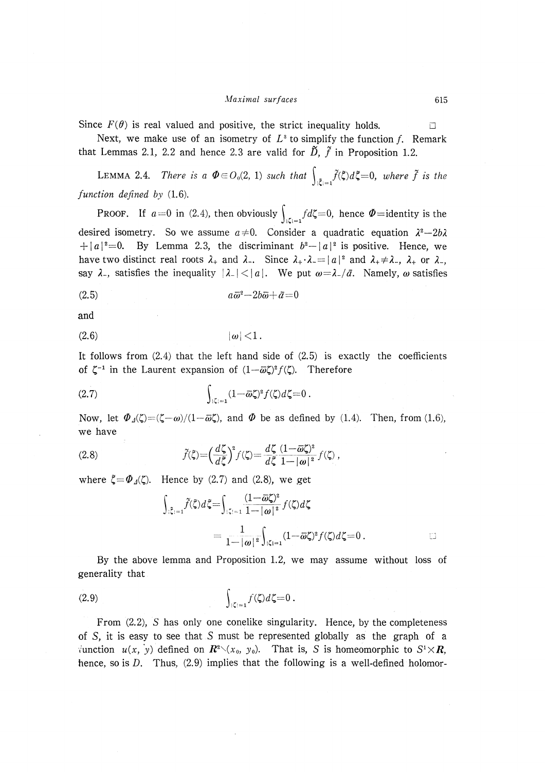Since  $F(\theta)$  is real valued and positive, the strict inequality holds.

Next, we make use of an isometry of  $L^3$  to simplify the function f. Remark that Lemmas 2.1, 2.2 and hence 2.3 are valid for  $\tilde{D}$ ,  $\tilde{f}$  in Proposition 1.2.

LEMMA 2.4. There is a  $\Phi \in O_0(2, 1)$  such that  $\int_{\tilde{c} = 1} \tilde{f}(\xi) d\xi = 0$ , where  $\tilde{f}$  is the function defined by (1.6).

**PROOF.** If  $a=0$  in (2.4), then obviously  $\int_{|z|=1} f d\zeta = 0$ , hence  $\Phi =$ identity is the desired isometry. So we assume  $a \neq 0$ . Consider a quadratic equation  $\lambda^2 - 2b\lambda$  $+ |a|^2 = 0$ . By Lemma 2.3, the discriminant  $b^2 - |a|^2$  is positive. Hence, we have two distinct real roots  $\lambda_+$  and  $\lambda_-$ . Since  $\lambda_+ \cdot \lambda_- = |a|^2$  and  $\lambda_+ \neq \lambda_-$ ,  $\lambda_+$  or  $\lambda_-$ , say  $\lambda$ , satisfies the inequality  $|\lambda| < |a|$ . We put  $\omega = \lambda / \bar{a}$ . Namely,  $\omega$  satisfies

$$
(2.5) \t\t a\overline{\omega}^2 - 2b\overline{\omega} + \overline{a} = 0
$$

and

$$
(2.6) \t\t |\omega|<1.
$$

It follows from  $(2.4)$  that the left hand side of  $(2.5)$  is exactly the coefficients of  $\zeta^{-1}$  in the Laurent expansion of  $(1-\bar{\omega}\zeta)^2 f(\zeta)$ . Therefore

$$
(2.7) \qquad \qquad \int_{|\zeta|=1} (1-\overline{\omega}\zeta)^2 f(\zeta) d\zeta = 0 \ .
$$

Now, let  $\Phi_{\Lambda}(\zeta)=(\zeta-\omega)/(1-\bar{\omega}\zeta)$ , and  $\Phi$  be as defined by (1.4). Then, from (1.6), we have

(2.8) 
$$
\tilde{f}(\tilde{\zeta}) = \left(\frac{d\zeta}{d\tilde{\zeta}}\right)^2 f(\zeta) = \frac{d\zeta}{d\tilde{\zeta}} \frac{(1-\overline{\omega}\zeta)^2}{1-|\omega|^2} f(\zeta),
$$

where  $\zeta = \Phi_d(\zeta)$ . Hence by (2.7) and (2.8), we get

$$
\int_{\{\xi\}=1} \widetilde{f}(\xi) d\xi = \int_{\{\zeta\}=1} \frac{(1-\overline{\omega}\zeta)^2}{1-|\omega|^2} f(\zeta) d\zeta
$$
\n
$$
= \frac{1}{1-|\omega|^2} \int_{\{\zeta\}=1} (1-\overline{\omega}\zeta)^2 f(\zeta) d\zeta = 0.
$$

 By the above lemma and Proposition 1.2, we may assume without loss of generality that

$$
\int_{|\zeta|=1} f(\zeta) d\zeta = 0.
$$

 From (2.2), S has only one conelike singularity. Hence, by the completeness of  $S$ , it is easy to see that  $S$  must be represented globally as the graph of a iunction  $u(x, y)$  defined on  $\mathbb{R}^2 \setminus (x_0, y_0)$ . That is, S is homeomorphic to  $S^1 \times \mathbb{R}$ , hence, so is  $D$ . Thus,  $(2.9)$  implies that the following is a well-defined holomor-

 $\Box$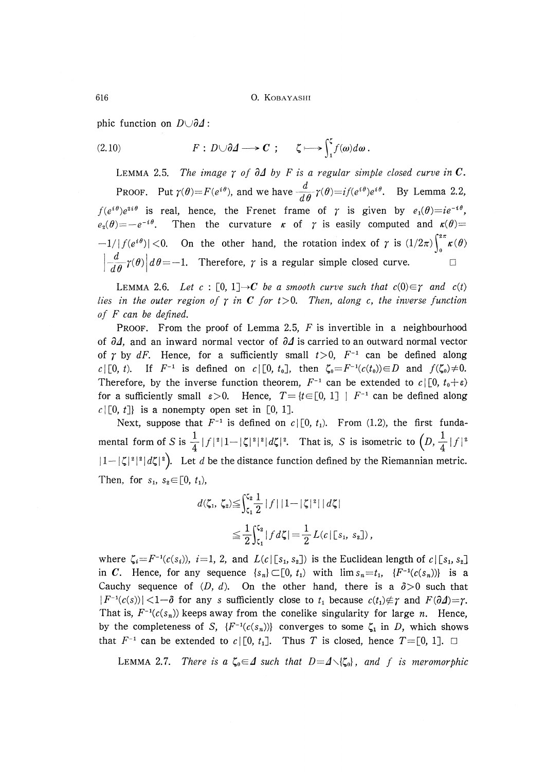616 0. KOBAYASHI

phic function on  $D \cup \partial \Delta$ :

(2.10) 
$$
F: D \cup \partial \Delta \longrightarrow C; \quad \zeta \longmapsto \int_{1}^{\zeta} f(\omega) d\omega.
$$

LEMMA 2.5. The image  $\gamma$  of  $\partial\Delta$  by F is a regular simple closed curve in C. PROOF. Put  $\gamma(\theta) = F(e^{i\theta})$ , and we have  $\frac{d}{d\theta} \gamma(\theta) = i f(e^{i\theta}) e^{i\theta}$ . By Lemma 2.2,  $f(e^{i\theta})e^{2i\theta}$  is real, hence, the Frenet frame of  $\gamma$  is given by  $e_1(\theta)=ie^{-i\theta}$ ,  $e_2(\theta)=-e^{-i\theta}$ . Then the curvature  $\kappa$  of  $\gamma$  is easily computed and  $\kappa(\theta)=$  $-1/|f(e^{i\theta})|$  < 0. On the other hand, the rotation index of  $\gamma$  is  $(1/2\pi)\int_{0}^{2\pi} \kappa(\theta)$  $\left| \frac{d}{d\theta} \gamma(\theta) \right| d\theta = -1$ . Therefore,  $\gamma$  is a regular simple closed curve.

LEMMA 2.6. Let  $c : [0, 1] \rightarrow C$  be a smooth curve such that  $c(0) \in \gamma$  and  $c(t)$ lies in the outer region of  $\gamma$  in C for t > 0. Then, along c, the inverse function of  $F$  can be defined.

PROOF. From the proof of Lemma 2.5,  $F$  is invertible in a neighbourhood of  $\partial \mathcal{A}$ , and an inward normal vector of  $\partial \mathcal{A}$  is carried to an outward normal vector of  $\gamma$  by dF. Hence, for a sufficiently small  $t>0$ ,  $F^{-1}$  can be defined along  $c | [0, t)$ . If  $F^{-1}$  is defined on  $c | [0, t_0]$ , then  $\zeta_0 = F^{-1}(c(t_0)) \in D$  and  $f(\zeta_0) \neq 0$ . Therefore, by the inverse function theorem,  $F^{-1}$  can be extended to  $c \mid [0, t_0 + \varepsilon)$ for a sufficiently small  $\varepsilon > 0$ . Hence,  $T = \{t \in [0, 1] \mid F^{-1} \text{ can be defined along} \}$  $c | [0, t]$  is a nonempty open set in [0, 1].

Next, suppose that  $F^{-1}$  is defined on  $c \mid [0, t_1]$ . From (1.2), the first fundamental form of S is  $\frac{1}{4}|f|^2|1-|\zeta|^2|d\zeta|^2$ . That is, S is isometric to  $\left(D,\frac{1}{4}|f|^2\right)$  $|1-|\zeta|^2|^2|d\zeta|^2$ . Let d be the distance function defined by the Riemannian metric. Then, for  $s_1$ ,  $s_2 \in [0, t_1)$ ,

$$
d(\zeta_1, \zeta_2) \leqq \int_{\zeta_1}^{\zeta_2} \frac{1}{2} |f| |1 - |\zeta|^2| |d\zeta|
$$
  

$$
\leqq \frac{1}{2} \int_{\zeta_1}^{\zeta_2} |f d\zeta| = \frac{1}{2} L(c | \zeta_1, s_2 |),
$$

where  $\zeta_i = F^{-1}(c(s_i))$ ,  $i=1, 2$ , and  $L(c | [s_1, s_2])$  is the Euclidean length of  $c | [s_1, s_2]$ in C. Hence, for any sequence  $\{s_n\} \subset [0, t_1)$  with  $\lim s_n = t_1$ ,  $\{F^{-1}(c(s_n))\}$  is a Cauchy sequence of  $(D, d)$ . On the other hand, there is a  $\delta > 0$  such that  $|F^{-1}(c(s))|$  < 1- $\delta$  for any s sufficiently close to  $t_1$  because  $c(t_1) \notin \gamma$  and  $F(\partial \Delta) = \gamma$ . That is,  $F^{-1}(c(s_n))$  keeps away from the conelike singularity for large n. Hence, by the completeness of S,  $\{F^{-1}(c(s_n))\}$  converges to some  $\zeta_1$  in D, which shows that  $F^{-1}$  can be extended to  $c \mid [0, t_1]$ . Thus T is closed, hence  $T = [0, 1]$ .  $\Box$ 

LEMMA 2.7. There is a  $\zeta_0 \in \Delta$  such that  $D = \Delta \setminus {\zeta_0}$ , and f is meromorphic